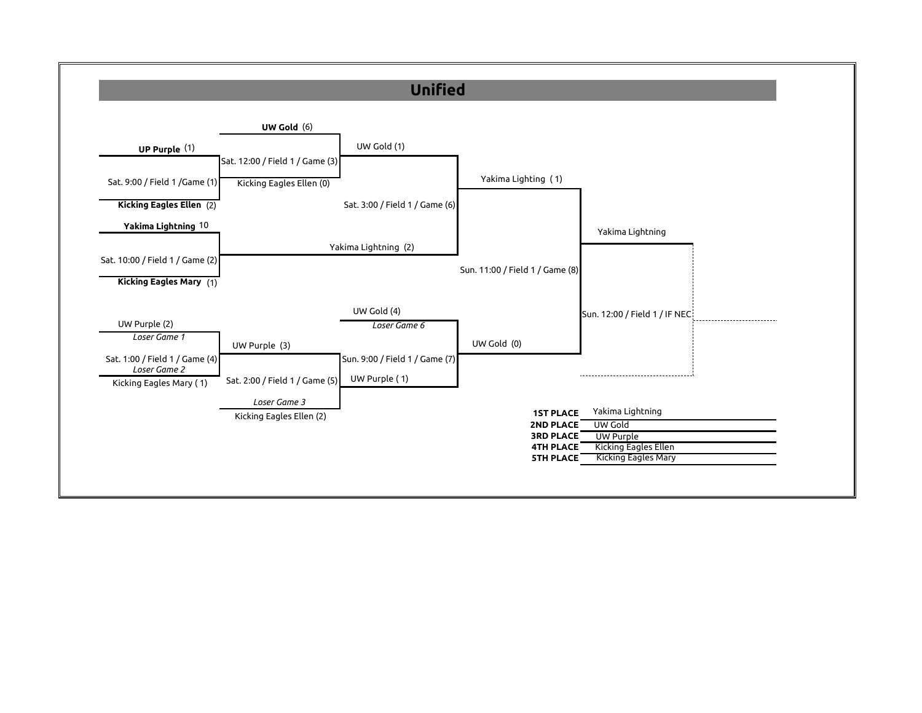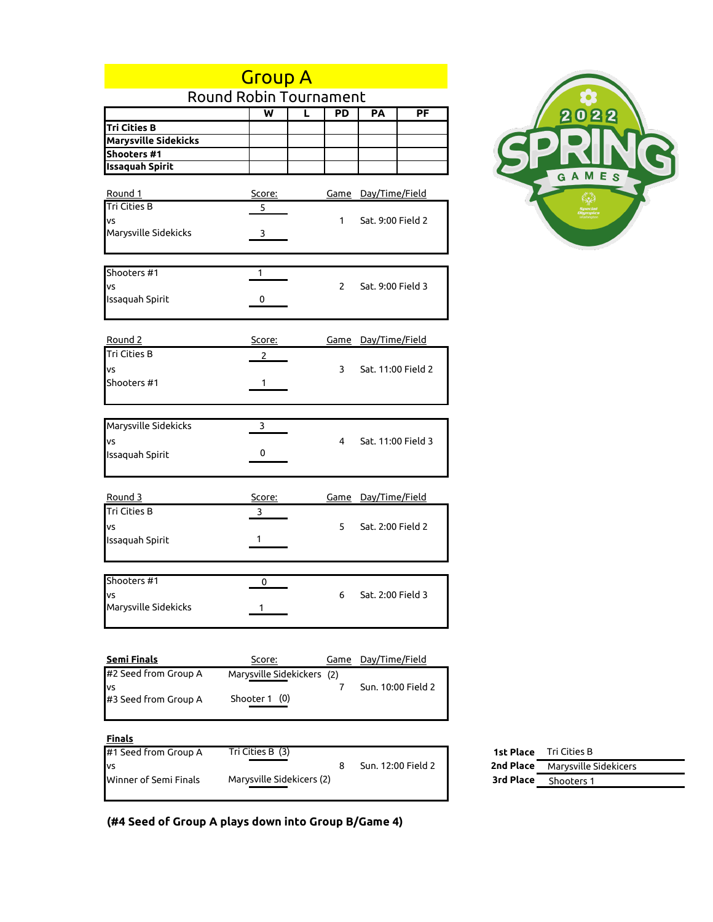| <b>Group A</b>         |                               |   |             |                            |                          |  |  |
|------------------------|-------------------------------|---|-------------|----------------------------|--------------------------|--|--|
|                        | <b>Round Robin Tournament</b> |   |             |                            |                          |  |  |
|                        | $\overline{\mathsf{w}}$       | L | PD          | РA                         | $\overline{\mathsf{PF}}$ |  |  |
| <b>Tri Cities B</b>    |                               |   |             |                            |                          |  |  |
| Marysville Sidekicks   |                               |   |             |                            |                          |  |  |
| Shooters #1            |                               |   |             |                            |                          |  |  |
| <b>Issaquah Spirit</b> |                               |   |             |                            |                          |  |  |
| Round 1                | <u>Score:</u>                 |   |             | <u>Game Day/Time/Field</u> |                          |  |  |
| <b>Tri Cities B</b>    | 5                             |   |             |                            |                          |  |  |
| VS                     |                               |   | 1           | Sat. 9:00 Field 2          |                          |  |  |
| Marysville Sidekicks   | 3                             |   |             |                            |                          |  |  |
|                        |                               |   |             |                            |                          |  |  |
| Shooters #1            | 1                             |   |             |                            |                          |  |  |
| VS                     |                               |   | 2           | Sat. 9:00 Field 3          |                          |  |  |
| Issaquah Spirit        | 0                             |   |             |                            |                          |  |  |
|                        |                               |   |             |                            |                          |  |  |
|                        |                               |   |             |                            |                          |  |  |
| Round 2                | Score:                        |   |             | <u>Game Day/Time/Field</u> |                          |  |  |
| Tri Cities B           | 2                             |   |             |                            |                          |  |  |
| VS                     |                               |   | 3           | Sat. 11:00 Field 2         |                          |  |  |
| Shooters #1            | 1                             |   |             |                            |                          |  |  |
|                        |                               |   |             |                            |                          |  |  |
| Marysville Sidekicks   | 3                             |   |             |                            |                          |  |  |
| VS                     |                               |   | 4           | Sat. 11:00 Field 3         |                          |  |  |
| Issaquah Spirit        | 0                             |   |             |                            |                          |  |  |
|                        |                               |   |             |                            |                          |  |  |
|                        |                               |   |             |                            |                          |  |  |
| Round 3                | Score:                        |   |             | <u>Game Day/Time/Field</u> |                          |  |  |
| Tri Cities B           | 3                             |   |             |                            |                          |  |  |
| VS                     |                               |   | 5.          | Sat. 2:00 Field 2          |                          |  |  |
| Issaquah Spirit        | 1                             |   |             |                            |                          |  |  |
|                        |                               |   |             |                            |                          |  |  |
| Shooters #1            | 0                             |   |             |                            |                          |  |  |
| ٧S                     |                               |   | 6           | Sat. 2:00 Field 3          |                          |  |  |
| Marysville Sidekicks   | 1                             |   |             |                            |                          |  |  |
|                        |                               |   |             |                            |                          |  |  |
|                        |                               |   |             |                            |                          |  |  |
| <b>Semi Finals</b>     | Score:                        |   | <u>Game</u> | Day/Time/Field             |                          |  |  |
| #2 Seed from Group A   | Marysville Sidekickers (2)    |   |             |                            |                          |  |  |
| VS                     |                               |   | 7           |                            | Sun. 10:00 Field 2       |  |  |
| #3 Seed from Group A   | Shooter 1 (0)                 |   |             |                            |                          |  |  |
|                        |                               |   |             |                            |                          |  |  |



|  | (#4 Seed of Group A plays down into Group B/Game 4) |  |  |  |  |
|--|-----------------------------------------------------|--|--|--|--|
|  |                                                     |  |  |  |  |

**Finals**

#1 Seed from Group A **1st Place**

| #1 Seed from Group A  | Tri Cities B (3)          |                    |           | <b>1st Place</b> Tri Cities B          |
|-----------------------|---------------------------|--------------------|-----------|----------------------------------------|
| vs                    |                           | Sun. 12:00 Field 2 |           | <b>2nd Place</b> Marysville Sidekicers |
| Winner of Semi Finals | Marysville Sidekicers (2) |                    | 3rd Place | Shooters 1                             |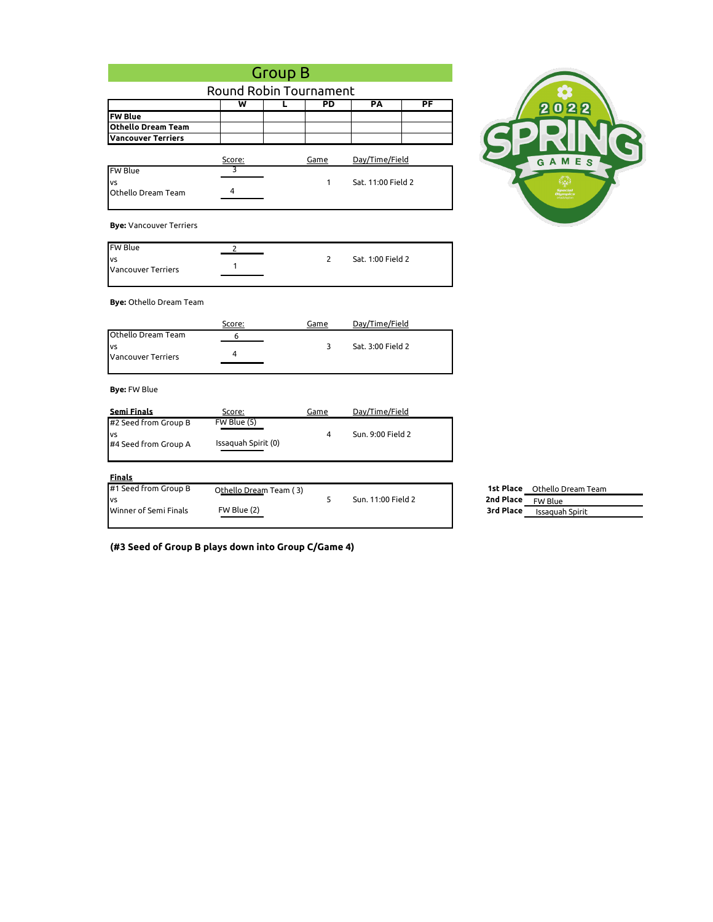|                                                       | <b>Group B</b>                        |                        |                    |                                                                                      |
|-------------------------------------------------------|---------------------------------------|------------------------|--------------------|--------------------------------------------------------------------------------------|
|                                                       |                                       | Round Robin Tournament |                    |                                                                                      |
|                                                       | $\overline{\mathsf{w}}$               | PD<br>L                | PA                 | PF<br>22<br>$\boldsymbol{\omega}$                                                    |
| <b>FW Blue</b>                                        |                                       |                        |                    |                                                                                      |
| <b>Othello Dream Team</b>                             |                                       |                        |                    |                                                                                      |
| <b>Vancouver Terriers</b>                             |                                       |                        |                    |                                                                                      |
|                                                       | Score:                                | Game                   | Day/Time/Field     | GAMES                                                                                |
| <b>FW Blue</b>                                        | 3                                     |                        |                    |                                                                                      |
| VS<br>Othello Dream Team                              | 4                                     | 1                      | Sat. 11:00 Field 2 |                                                                                      |
| <b>Bye: Vancouver Terriers</b>                        |                                       |                        |                    |                                                                                      |
| <b>FW Blue</b>                                        | 2                                     |                        |                    |                                                                                      |
| VS<br><b>Vancouver Terriers</b>                       | 1                                     | 2                      | Sat. 1:00 Field 2  |                                                                                      |
| <b>Bye:</b> Othello Dream Team                        |                                       |                        |                    |                                                                                      |
|                                                       | Score:                                | Game                   | Day/Time/Field     |                                                                                      |
| Othello Dream Team<br>VS<br><b>Vancouver Terriers</b> | 6<br>4                                | 3                      | Sat. 3:00 Field 2  |                                                                                      |
| <b>Bye: FW Blue</b>                                   |                                       |                        |                    |                                                                                      |
| <b>Semi Finals</b>                                    | Score:                                | Game                   | Day/Time/Field     |                                                                                      |
| #2 Seed from Group B<br>VS<br>#4 Seed from Group A    | FW Blue (5)<br>Issaquah Spirit (0)    | $\overline{4}$         | Sun. 9:00 Field 2  |                                                                                      |
| <b>Finals</b>                                         |                                       |                        |                    |                                                                                      |
| #1 Seed from Group B<br>VS<br>Winner of Semi Finals   | Othello Dream Team (3)<br>FW Blue (2) | 5                      | Sun. 11:00 Field 2 | 1st Place Othello Dream Team<br>2nd Place<br>FW Blue<br>3rd Place<br>Issaquah Spirit |

**(#3 Seed of Group B plays down into Group C/Game 4)**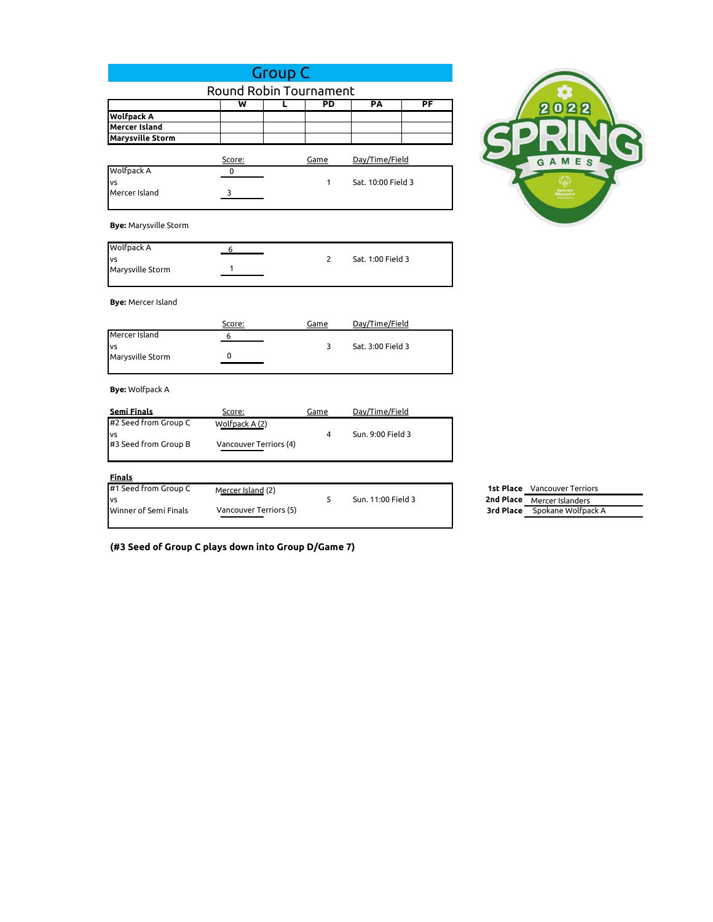|                                                 |                         | <b>Group C</b>  |                    |    |
|-------------------------------------------------|-------------------------|-----------------|--------------------|----|
|                                                 | Round Robin Tournament  |                 |                    |    |
|                                                 | $\overline{\mathsf{w}}$ | $\overline{PD}$ | PA                 | PF |
| <b>Wolfpack A</b>                               |                         |                 |                    |    |
| <b>Mercer Island</b><br><b>Marysville Storm</b> |                         |                 |                    |    |
|                                                 |                         |                 |                    |    |
|                                                 | Score:                  | Game            | Day/Time/Field     |    |
| Wolfpack A                                      | 0                       |                 |                    |    |
| VS<br>Mercer Island                             | 3                       | 1               | Sat. 10:00 Field 3 |    |
|                                                 |                         |                 |                    |    |
|                                                 |                         |                 |                    |    |
| <b>Bye: Marysville Storm</b>                    |                         |                 |                    |    |
| Wolfpack A                                      |                         |                 |                    |    |
| vs                                              | 6                       | 2               | Sat. 1:00 Field 3  |    |
| Marysville Storm                                | 1                       |                 |                    |    |
|                                                 |                         |                 |                    |    |
| <b>Bye: Mercer Island</b>                       |                         |                 |                    |    |
|                                                 |                         |                 |                    |    |
|                                                 | Score:                  | Game            | Day/Time/Field     |    |
| Mercer Island                                   | 6                       |                 |                    |    |
| VS<br>Marysville Storm                          | 0                       | 3               | Sat. 3:00 Field 3  |    |
|                                                 |                         |                 |                    |    |
|                                                 |                         |                 |                    |    |
| <b>Bye:</b> Wolfpack A                          |                         |                 |                    |    |
| <b>Semi Finals</b>                              | Score:                  | Game            | Day/Time/Field     |    |
| #2 Seed from Group C                            | Wolfpack A (2)          |                 |                    |    |
| <b>VS</b>                                       |                         | 4               | Sun. 9:00 Field 3  |    |
| #3 Seed from Group B                            | Vancouver Terriors (4)  |                 |                    |    |
|                                                 |                         |                 |                    |    |
| <b>Finals</b>                                   |                         |                 |                    |    |
| #1 Seed from Group C                            | Mercer Island (2)       |                 |                    |    |
| vs                                              |                         | 5               | Sun. 11:00 Field 3 |    |
| Winner of Semi Finals                           | Vancouver Terriors (5)  |                 |                    |    |
|                                                 |                         |                 |                    |    |

**(#3 Seed of Group C plays down into Group D/Game 7)**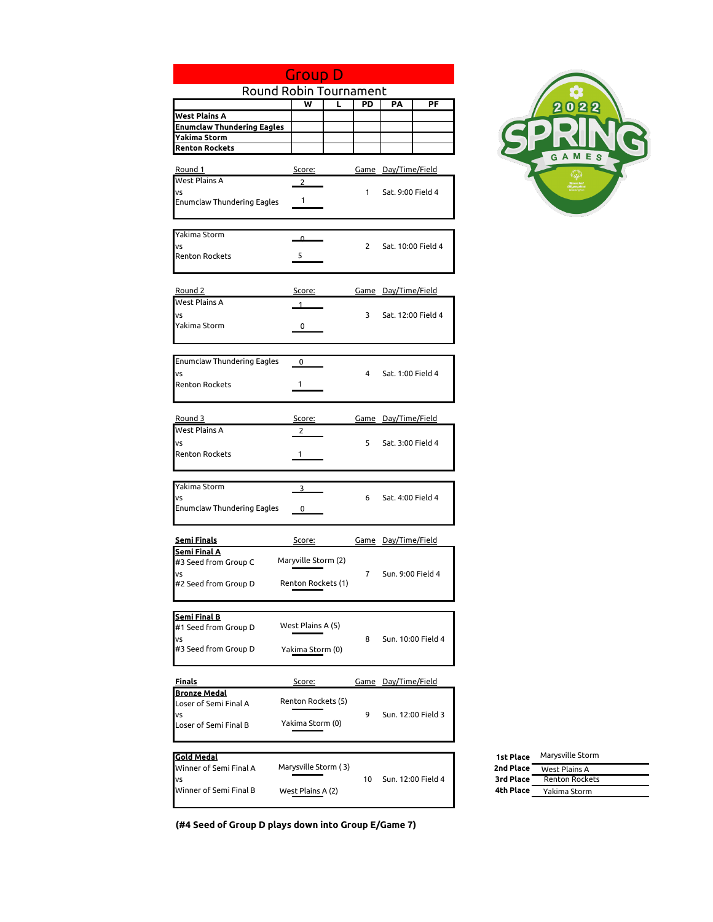|                                                    | <b>Group D</b>         |                |                            |                    |                        |
|----------------------------------------------------|------------------------|----------------|----------------------------|--------------------|------------------------|
|                                                    | Round Robin Tournament |                |                            |                    |                        |
|                                                    | ₩<br>τ                 | PD             | PA                         | PF                 |                        |
| West Plains A<br><b>Enumclaw Thundering Eagles</b> |                        |                |                            |                    |                        |
| Yakima Storm                                       |                        |                |                            |                    |                        |
| <b>Renton Rockets</b>                              |                        |                |                            |                    |                        |
|                                                    |                        |                |                            |                    |                        |
| Round 1<br><b>West Plains A</b>                    | <u>Score:</u>          |                | <u>Game Day/Time/Field</u> |                    |                        |
| VS                                                 | $\overline{2}$         | $\mathbf{1}$   | Sat. 9:00 Field 4          |                    |                        |
| <b>Enumclaw Thundering Eagles</b>                  | 1                      |                |                            |                    |                        |
|                                                    |                        |                |                            |                    |                        |
|                                                    |                        |                |                            |                    |                        |
| Yakima Storm<br><b>VS</b>                          | Δ.                     | $\overline{2}$ |                            |                    |                        |
| <b>Renton Rockets</b>                              | 5                      |                |                            | Sat. 10:00 Field 4 |                        |
|                                                    |                        |                |                            |                    |                        |
|                                                    |                        |                |                            |                    |                        |
| Round 2                                            | Score:                 |                | <u>Game Day/Time/Field</u> |                    |                        |
| West Plains A                                      |                        |                |                            |                    |                        |
| VS<br>Yakima Storm                                 | 0                      | 3              | Sat. 12:00 Field 4         |                    |                        |
|                                                    |                        |                |                            |                    |                        |
|                                                    |                        |                |                            |                    |                        |
| Enumclaw Thundering Eagles                         | 0                      |                |                            |                    |                        |
| VS                                                 |                        | 4              | Sat. 1:00 Field 4          |                    |                        |
| <b>Renton Rockets</b>                              | 1                      |                |                            |                    |                        |
|                                                    |                        |                |                            |                    |                        |
| Round 3                                            | Score:                 |                | Game Day/Time/Field        |                    |                        |
| West Plains A                                      | 2                      |                |                            |                    |                        |
| VS                                                 |                        | 5              | Sat. 3:00 Field 4          |                    |                        |
| <b>Renton Rockets</b>                              | 1                      |                |                            |                    |                        |
|                                                    |                        |                |                            |                    |                        |
| Yakima Storm                                       | 3                      |                |                            |                    |                        |
| VS<br>Enumclaw Thundering Eagles                   |                        | 6              | Sat. 4:00 Field 4          |                    |                        |
|                                                    | 0                      |                |                            |                    |                        |
| <u>Semi Finals</u>                                 |                        |                | Game Day/Time/Field        |                    |                        |
| Semi Final A                                       | <u>Score:</u>          |                |                            |                    |                        |
| #3 Seed from Group C                               | Maryville Storm (2)    |                |                            |                    |                        |
| VS                                                 |                        | $\overline{7}$ | Sun. 9:00 Field 4          |                    |                        |
| #2 Seed from Group D                               | Renton Rockets (1)     |                |                            |                    |                        |
|                                                    |                        |                |                            |                    |                        |
| <b>Semi Final B</b>                                | West Plains A (5)      |                |                            |                    |                        |
| #1 Seed from Group D<br>VS                         |                        | 8              |                            | Sun. 10:00 Field 4 |                        |
| #3 Seed from Group D                               | Yakima Storm (0)       |                |                            |                    |                        |
|                                                    |                        |                |                            |                    |                        |
| <u>Finals</u>                                      | <u>Score:</u>          |                | <u>Game Day/Time/Field</u> |                    |                        |
| <b>Bronze Medal</b>                                |                        |                |                            |                    |                        |
| Loser of Semi Final A                              | Renton Rockets (5)     |                |                            |                    |                        |
| <b>VS</b>                                          |                        | 9              |                            | Sun. 12:00 Field 3 |                        |
| Loser of Semi Final B                              | Yakima Storm (0)       |                |                            |                    |                        |
|                                                    |                        |                |                            |                    |                        |
| <b>Gold Medal</b>                                  | Marysville Storm (3)   |                |                            |                    | 1st Place              |
| Winner of Semi Final A<br>VS                       |                        | 10             |                            | Sun. 12:00 Field 4 | 2nd Place<br>3rd Place |
| Winner of Semi Final B                             | West Plains A (2)      |                |                            |                    | 4th Place              |
|                                                    |                        |                |                            |                    |                        |



| <b>1st Place</b> | Marysville Storm      |
|------------------|-----------------------|
| 2nd Place        | West Plains A         |
| 3rd Place        | <b>Renton Rockets</b> |
| 4th Place        | Yakima Storm          |
|                  |                       |

**(#4 Seed of Group D plays down into Group E/Game 7)**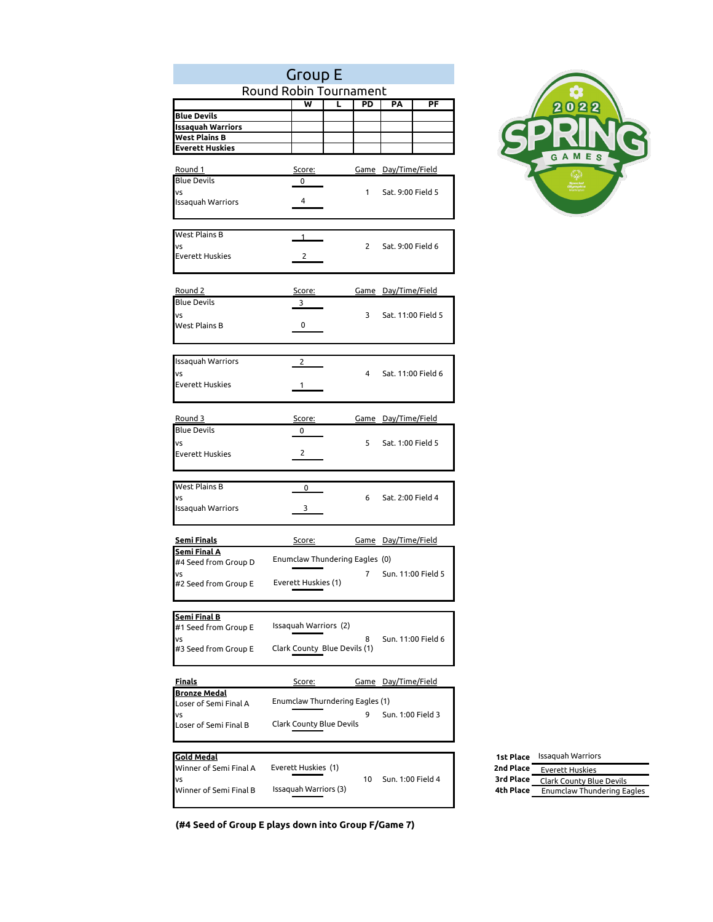|                                             | <b>Group E</b>               |                                 |                            |    |                  |
|---------------------------------------------|------------------------------|---------------------------------|----------------------------|----|------------------|
|                                             | Round Robin Tournament       |                                 |                            |    |                  |
|                                             | ₩                            | PD<br>τ                         | PA                         | PF |                  |
| <b>Blue Devils</b>                          |                              |                                 |                            |    |                  |
| <b>Issaquah Warriors</b><br>West Plains B   |                              |                                 |                            |    |                  |
| <b>Everett Huskies</b>                      |                              |                                 |                            |    |                  |
|                                             |                              |                                 |                            |    |                  |
| Round 1                                     | Score:                       |                                 | <u>Game</u> Day/Time/Field |    |                  |
| <b>Blue Devils</b>                          | 0                            |                                 |                            |    |                  |
| vs<br><b>Issaquah Warriors</b>              | 4                            | $\mathbf{1}$                    | Sat. 9:00 Field 5          |    |                  |
|                                             |                              |                                 |                            |    |                  |
|                                             |                              |                                 |                            |    |                  |
| West Plains B                               | 1                            |                                 |                            |    |                  |
| VS<br>Everett Huskies                       | 2                            | $\overline{2}$                  | Sat. 9:00 Field 6          |    |                  |
|                                             |                              |                                 |                            |    |                  |
|                                             |                              |                                 |                            |    |                  |
| Round 2                                     | <u>Score:</u>                |                                 | <u>Game Day/Time/Field</u> |    |                  |
| <b>Blue Devils</b>                          | 3                            |                                 |                            |    |                  |
| VS                                          |                              | 3                               | Sat. 11:00 Field 5         |    |                  |
| West Plains B                               | 0                            |                                 |                            |    |                  |
|                                             |                              |                                 |                            |    |                  |
| Issaquah Warriors                           |                              |                                 |                            |    |                  |
| VS                                          | 2                            | 4                               | Sat. 11:00 Field 6         |    |                  |
| Everett Huskies                             | 1                            |                                 |                            |    |                  |
|                                             |                              |                                 |                            |    |                  |
|                                             |                              |                                 |                            |    |                  |
| Round 3                                     | Score:                       |                                 | Game Day/Time/Field        |    |                  |
| <b>Blue Devils</b>                          | 0                            |                                 |                            |    |                  |
| VS<br><b>Everett Huskies</b>                | $\overline{2}$               | 5                               | Sat. 1:00 Field 5          |    |                  |
|                                             |                              |                                 |                            |    |                  |
|                                             |                              |                                 |                            |    |                  |
| West Plains B                               | 0                            |                                 |                            |    |                  |
| VS                                          |                              | 6                               | Sat. 2:00 Field 4          |    |                  |
| <b>Issaquah Warriors</b>                    | 3                            |                                 |                            |    |                  |
|                                             |                              |                                 |                            |    |                  |
| <b>Semi Finals</b>                          | <u>Score:</u>                |                                 | <u>Game Day/Time/Field</u> |    |                  |
| Semi Final A<br>#4 Seed from Group D        |                              | Enumclaw Thundering Eagles (0)  |                            |    |                  |
| VS                                          |                              | $\overline{7}$                  | Sun. 11:00 Field 5         |    |                  |
| #2 Seed from Group E                        | Everett Huskies (1)          |                                 |                            |    |                  |
|                                             |                              |                                 |                            |    |                  |
|                                             |                              |                                 |                            |    |                  |
| <b>Semi Final B</b><br>#1 Seed from Group E | Issaguah Warriors (2)        |                                 |                            |    |                  |
| vs                                          |                              | 8                               | Sun. 11:00 Field 6         |    |                  |
| #3 Seed from Group E                        | Clark County Blue Devils (1) |                                 |                            |    |                  |
|                                             |                              |                                 |                            |    |                  |
| <u>Finals</u>                               | Score:                       |                                 | <u>Game Day/Time/Field</u> |    |                  |
| <b>Bronze Medal</b>                         |                              |                                 |                            |    |                  |
| Loser of Semi Final A                       |                              | Enumclaw Thurndering Eagles (1) |                            |    |                  |
| VS                                          |                              | 9                               | Sun. 1:00 Field 3          |    |                  |
| Loser of Semi Final B                       | Clark County Blue Devils     |                                 |                            |    |                  |
|                                             |                              |                                 |                            |    |                  |
| <b>Gold Medal</b>                           |                              |                                 |                            |    | <b>1st Place</b> |
| Winner of Semi Final A                      | Everett Huskies (1)          |                                 |                            |    | 2nd Place        |
| VS                                          |                              | 10                              | Sun. 1:00 Field 4          |    | 3rd Place        |
| Winner of Semi Final B                      | Issaquah Warriors (3)        |                                 |                            |    | 4th Place        |



**(#4 Seed of Group E plays down into Group F/Game 7)**

Issaquah Warriors

Everett Huskies Clark County Blue Devils Enumclaw Thundering Eagles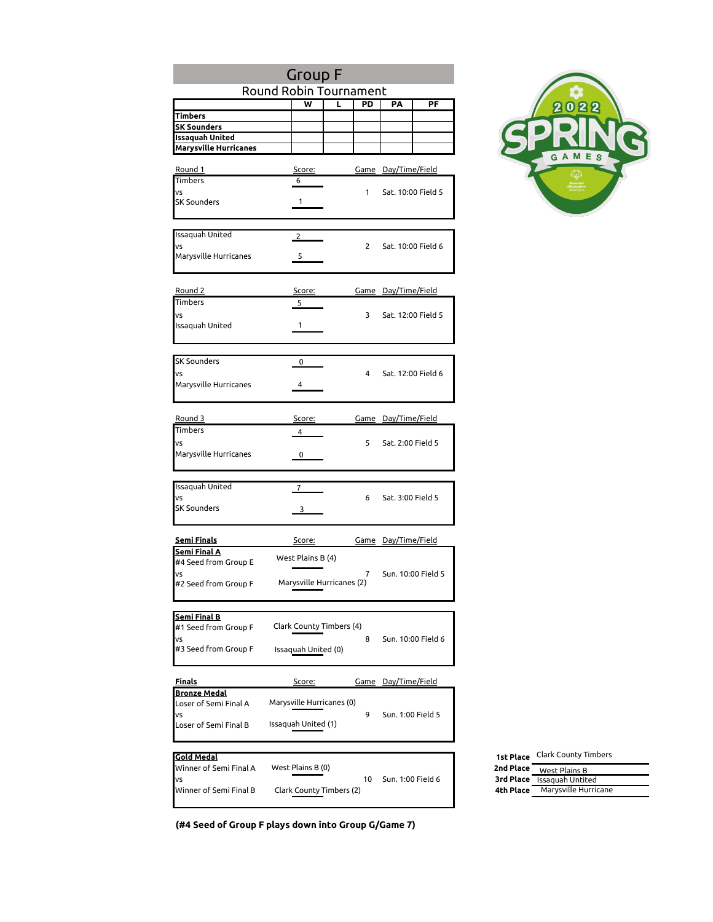|                                             | <b>Group F</b>            |                |                            |                        |
|---------------------------------------------|---------------------------|----------------|----------------------------|------------------------|
|                                             | Round Robin Tournament    |                |                            |                        |
|                                             | ₩                         | τ<br>PD        | PF<br>PA                   |                        |
| Timbers<br><b>SK Sounders</b>               |                           |                |                            |                        |
| Issaquah United                             |                           |                |                            |                        |
| <b>Marysville Hurricanes</b>                |                           |                |                            |                        |
|                                             |                           |                |                            |                        |
| <u>Round 1</u><br>Timbers                   | Score:<br>6               |                | <u>Game Day/Time/Field</u> |                        |
| VS                                          |                           | $\mathbf{1}$   | Sat. 10:00 Field 5         |                        |
| <b>SK Sounders</b>                          | 1                         |                |                            |                        |
|                                             |                           |                |                            |                        |
| Issaquah United                             |                           |                |                            |                        |
| VS                                          | $\overline{2}$            | $\overline{2}$ | Sat. 10:00 Field 6         |                        |
| Marysville Hurricanes                       | 5                         |                |                            |                        |
|                                             |                           |                |                            |                        |
|                                             |                           |                |                            |                        |
| Round 2<br>Timbers                          | Score:                    |                | <u>Game Day/Time/Field</u> |                        |
| VS                                          | 5                         | 3              | Sat. 12:00 Field 5         |                        |
| Issaquah United                             | 1                         |                |                            |                        |
|                                             |                           |                |                            |                        |
|                                             |                           |                |                            |                        |
| <b>SK Sounders</b>                          | 0                         |                |                            |                        |
| VS                                          |                           | 4              | Sat. 12:00 Field 6         |                        |
| Marysville Hurricanes                       | 4                         |                |                            |                        |
|                                             |                           |                |                            |                        |
| Round 3                                     | Score:                    |                | Game Day/Time/Field        |                        |
| <b>Timbers</b>                              | 4                         |                |                            |                        |
| VS                                          |                           | 5              | Sat. 2:00 Field 5          |                        |
| Marysville Hurricanes                       | 0                         |                |                            |                        |
|                                             |                           |                |                            |                        |
| Issaquah United                             | 7                         |                |                            |                        |
| VS                                          |                           | 6              | Sat. 3:00 Field 5          |                        |
| <b>SK Sounders</b>                          | 3                         |                |                            |                        |
|                                             |                           |                |                            |                        |
| <u>Semi Finals</u>                          |                           |                |                            |                        |
| <b>Semi Final A</b>                         | Score:                    |                | <u>Game Day/Time/Field</u> |                        |
| #4 Seed from Group E                        | West Plains B (4)         |                |                            |                        |
| VS                                          |                           | $\overline{7}$ | Sun. 10:00 Field 5         |                        |
| #2 Seed from Group F                        | Marysville Hurricanes (2) |                |                            |                        |
|                                             |                           |                |                            |                        |
| <u>Semi Final B</u>                         |                           |                |                            |                        |
| #1 Seed from Group F                        | Clark County Timbers (4)  |                |                            |                        |
| VS                                          |                           | 8              | Sun. 10:00 Field 6         |                        |
| #3 Seed from Group F                        | Issaquah United (0)       |                |                            |                        |
|                                             |                           |                |                            |                        |
| <u>Finals</u>                               | Score:                    |                | <u>Game Day/Time/Field</u> |                        |
| <u>Bronze Medal</u>                         |                           |                |                            |                        |
| Loser of Semi Final A<br>VS                 | Marysville Hurricanes (0) | 9              | Sun. 1:00 Field 5          |                        |
| Loser of Semi Final B                       | Issaquah United (1)       |                |                            |                        |
|                                             |                           |                |                            |                        |
|                                             |                           |                |                            |                        |
| <b>Gold Medal</b><br>Winner of Semi Final A | West Plains B (0)         |                |                            | 1st Place<br>2nd Place |
| VS                                          |                           | 10             | Sun. 1:00 Field 6          | 3rd Place              |
| Winner of Semi Final B                      | Clark County Timbers (2)  |                |                            | 4th Place              |
|                                             |                           |                |                            |                        |



**(#4 Seed of Group F plays down into Group G/Game 7)**

Clark County Timbers

West Plains B Issaquah Untited Marysville Hurricane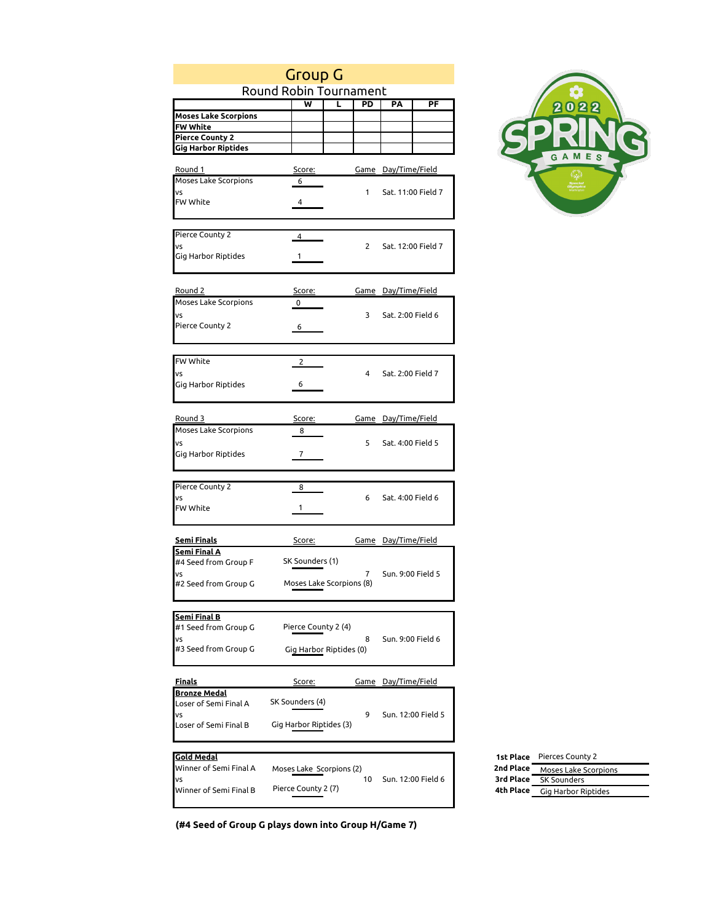|                             | <b>Group G</b>           |                          |                            |                                         |
|-----------------------------|--------------------------|--------------------------|----------------------------|-----------------------------------------|
|                             | Round Robin Tournament   |                          |                            |                                         |
|                             | W                        | L<br>PD                  | PA<br>PF                   | 2022                                    |
| <b>Moses Lake Scorpions</b> |                          |                          |                            |                                         |
| FW White                    |                          |                          |                            |                                         |
| <b>Pierce County 2</b>      |                          |                          |                            |                                         |
| <b>Gig Harbor Riptides</b>  |                          |                          |                            | GAMES                                   |
|                             |                          |                          |                            |                                         |
| Round 1                     | Score:                   |                          | <u>Game Day/Time/Field</u> |                                         |
| Moses Lake Scorpions        | 6                        |                          |                            |                                         |
| VS                          |                          | 1                        | Sat. 11:00 Field 7         |                                         |
| FW White                    | 4                        |                          |                            |                                         |
|                             |                          |                          |                            |                                         |
|                             |                          |                          |                            |                                         |
| Pierce County 2             | $\overline{4}$           |                          |                            |                                         |
| VS                          |                          | $\overline{2}$           | Sat. 12:00 Field 7         |                                         |
| Gig Harbor Riptides         | $\mathbf{1}$             |                          |                            |                                         |
|                             |                          |                          |                            |                                         |
|                             |                          |                          |                            |                                         |
| <u>Round 2</u>              | Score:                   |                          | <u>Game Day/Time/Field</u> |                                         |
| Moses Lake Scorpions        | 0                        |                          |                            |                                         |
| VS                          |                          | 3                        | Sat. 2:00 Field 6          |                                         |
| Pierce County 2             | 6                        |                          |                            |                                         |
|                             |                          |                          |                            |                                         |
|                             |                          |                          |                            |                                         |
| <b>FW White</b>             | 2                        |                          |                            |                                         |
|                             |                          |                          |                            |                                         |
| VS                          |                          | 4                        | Sat. 2:00 Field 7          |                                         |
| Gig Harbor Riptides         | 6                        |                          |                            |                                         |
|                             |                          |                          |                            |                                         |
|                             |                          |                          |                            |                                         |
| Round 3                     | Score:                   |                          | <u>Game Day/Time/Field</u> |                                         |
| Moses Lake Scorpions        | 8                        |                          |                            |                                         |
| VS                          |                          | 5                        | Sat. 4:00 Field 5          |                                         |
| Gig Harbor Riptides         | $\overline{7}$           |                          |                            |                                         |
|                             |                          |                          |                            |                                         |
|                             |                          |                          |                            |                                         |
| Pierce County 2             | 8                        |                          |                            |                                         |
| VS                          |                          | 6                        | Sat. 4:00 Field 6          |                                         |
| FW White                    | 1                        |                          |                            |                                         |
|                             |                          |                          |                            |                                         |
|                             |                          |                          |                            |                                         |
| <b>Semi Finals</b>          | Score:                   |                          | <u>Game Day/Time/Field</u> |                                         |
| <b>Semi Final A</b>         |                          |                          |                            |                                         |
| #4 Seed from Group F        | SK Sounders (1)          |                          |                            |                                         |
| VS                          |                          | 7                        | Sun. 9:00 Field 5          |                                         |
| #2 Seed from Group G        |                          | Moses Lake Scorpions (8) |                            |                                         |
|                             |                          |                          |                            |                                         |
|                             |                          |                          |                            |                                         |
| <b>Semi Final B</b>         |                          |                          |                            |                                         |
| #1 Seed from Group G        | Pierce County 2 (4)      |                          |                            |                                         |
| VS                          |                          | 8                        | Sun. 9:00 Field 6          |                                         |
| #3 Seed from Group G        |                          | Gig Harbor Riptides (0)  |                            |                                         |
|                             |                          |                          |                            |                                         |
|                             |                          |                          |                            |                                         |
| <u>Finals</u>               | Score:                   |                          | <u>Game Day/Time/Field</u> |                                         |
| <b>Bronze Medal</b>         |                          |                          |                            |                                         |
| Loser of Semi Final A       | SK Sounders (4)          |                          |                            |                                         |
| VS                          |                          | 9                        | Sun. 12:00 Field 5         |                                         |
| Loser of Semi Final B       | Gig Harbor Riptides (3)  |                          |                            |                                         |
|                             |                          |                          |                            |                                         |
|                             |                          |                          |                            |                                         |
| <b>Gold Medal</b>           |                          |                          |                            | 1st Place Pierces County 2              |
| Winner of Semi Final A      | Moses Lake Scorpions (2) |                          |                            | 2nd Place<br>Moses Lake Scorpio         |
| VS                          |                          | 10                       | Sun. 12:00 Field 6         | 3rd Place<br>SK Sounders                |
| Winner of Semi Final B      | Pierce County 2 (7)      |                          |                            | 4th Place<br><b>Gig Harbor Riptides</b> |
|                             |                          |                          |                            |                                         |



**(#4 Seed of Group G plays down into Group H/Game 7)**

Moses Lake Scorpions SK Sounders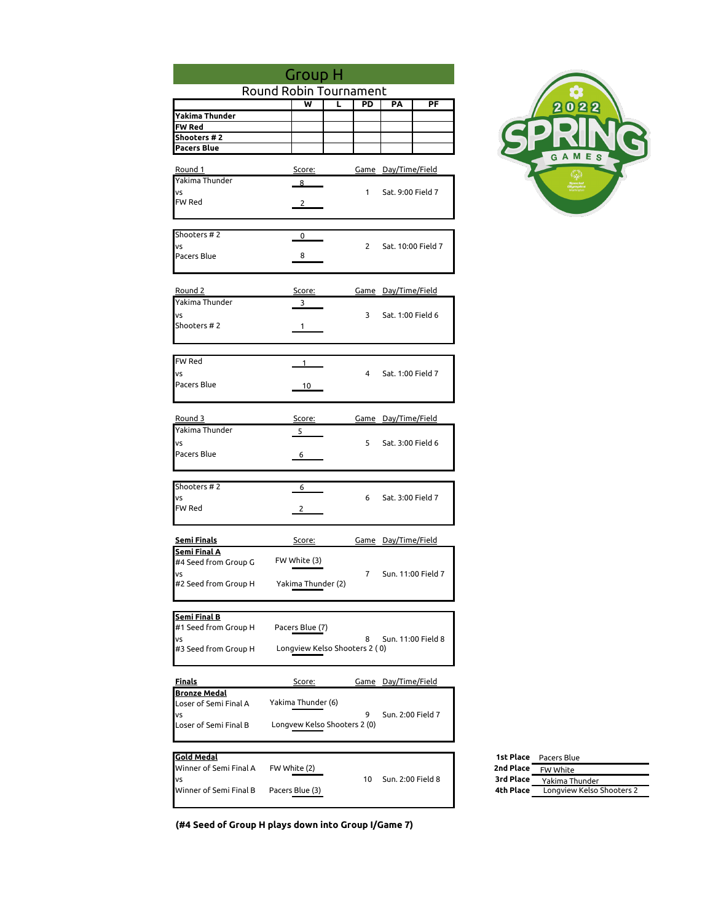|                                             | <b>Group H</b>                |   |                |                            |                    |                        |
|---------------------------------------------|-------------------------------|---|----------------|----------------------------|--------------------|------------------------|
|                                             | Round Robin Tournament        |   |                |                            |                    |                        |
|                                             | ₩                             | τ | PD             | PA                         | PF                 |                        |
| Yakima Thunder                              |                               |   |                |                            |                    |                        |
| <b>FW Red</b><br>Shooters # 2               |                               |   |                |                            |                    |                        |
| <b>Pacers Blue</b>                          |                               |   |                |                            |                    |                        |
|                                             |                               |   |                |                            |                    |                        |
| <u>Round 1</u>                              | Score:                        |   |                | Game Day/Time/Field        |                    |                        |
| Yakima Thunder                              | 8                             |   |                |                            |                    |                        |
| VS<br>FW Red                                | $2^{\circ}$                   |   | $\mathbf{1}$   | Sat. 9:00 Field 7          |                    |                        |
|                                             |                               |   |                |                            |                    |                        |
|                                             |                               |   |                |                            |                    |                        |
| Shooters #2                                 | 0                             |   |                |                            |                    |                        |
| VS<br>Pacers Blue                           | 8                             |   | $\overline{2}$ |                            | Sat. 10:00 Field 7 |                        |
|                                             |                               |   |                |                            |                    |                        |
|                                             |                               |   |                |                            |                    |                        |
| Round 2                                     | Score:                        |   |                | <u>Game Day/Time/Field</u> |                    |                        |
| Yakima Thunder                              | 3                             |   |                |                            |                    |                        |
| VS                                          |                               |   | 3              | Sat. 1:00 Field 6          |                    |                        |
| Shooters #2                                 | 1                             |   |                |                            |                    |                        |
|                                             |                               |   |                |                            |                    |                        |
| FW Red                                      | 1                             |   |                |                            |                    |                        |
| VS                                          |                               |   | $\overline{4}$ | Sat. 1:00 Field 7          |                    |                        |
| Pacers Blue                                 | 10                            |   |                |                            |                    |                        |
|                                             |                               |   |                |                            |                    |                        |
|                                             |                               |   |                |                            |                    |                        |
| Round 3<br>Yakima Thunder                   | Score:<br>5                   |   |                | Game Day/Time/Field        |                    |                        |
| VS                                          |                               |   | 5              | Sat. 3:00 Field 6          |                    |                        |
| Pacers Blue                                 | 6                             |   |                |                            |                    |                        |
|                                             |                               |   |                |                            |                    |                        |
|                                             |                               |   |                |                            |                    |                        |
| Shooters #2<br>VS                           | 6                             |   | 6              | Sat. 3:00 Field 7          |                    |                        |
| FW Red                                      | 2                             |   |                |                            |                    |                        |
|                                             |                               |   |                |                            |                    |                        |
|                                             |                               |   |                |                            |                    |                        |
| <u>Semi Finals</u><br><b>Semi Final A</b>   | <u>Score:</u>                 |   |                | <u>Game Day/Time/Field</u> |                    |                        |
| #4 Seed from Group G                        | FW White (3)                  |   |                |                            |                    |                        |
| VS                                          |                               |   | $\overline{7}$ |                            | Sun. 11:00 Field 7 |                        |
| #2 Seed from Group H                        | Yakima Thunder (2)            |   |                |                            |                    |                        |
|                                             |                               |   |                |                            |                    |                        |
| <u>Semi Final B</u>                         |                               |   |                |                            |                    |                        |
| #1 Seed from Group H                        | Pacers Blue (7)               |   |                |                            |                    |                        |
| VS                                          |                               |   | 8              |                            | Sun. 11:00 Field 8 |                        |
| #3 Seed from Group H                        | Longview Kelso Shooters 2 (0) |   |                |                            |                    |                        |
|                                             |                               |   |                |                            |                    |                        |
| <u>Finals</u>                               | <u>Score:</u>                 |   |                | <u>Game Day/Time/Field</u> |                    |                        |
| <u>Bronze Medal</u>                         |                               |   |                |                            |                    |                        |
| Loser of Semi Final A<br>VS                 | Yakima Thunder (6)            |   | 9              | Sun. 2:00 Field 7          |                    |                        |
| Loser of Semi Final B                       | Longvew Kelso Shooters 2 (0)  |   |                |                            |                    |                        |
|                                             |                               |   |                |                            |                    |                        |
|                                             |                               |   |                |                            |                    |                        |
| <b>Gold Medal</b><br>Winner of Semi Final A | FW White (2)                  |   |                |                            |                    | 1st Place<br>2nd Place |
| VS                                          |                               |   | 10             | Sun. 2:00 Field 8          |                    | 3rd Place              |
| Winner of Semi Final B                      | Pacers Blue (3)               |   |                |                            |                    | 4th Place              |
|                                             |                               |   |                |                            |                    |                        |



**(#4 Seed of Group H plays down into Group I/Game 7)**

|           | <b>1st Place</b> Pacers Blue |
|-----------|------------------------------|
| 2nd Place | FW White                     |
| 3rd Place | Yakima Thunder               |
| 4th Place | Longview Kelso Shooters 2    |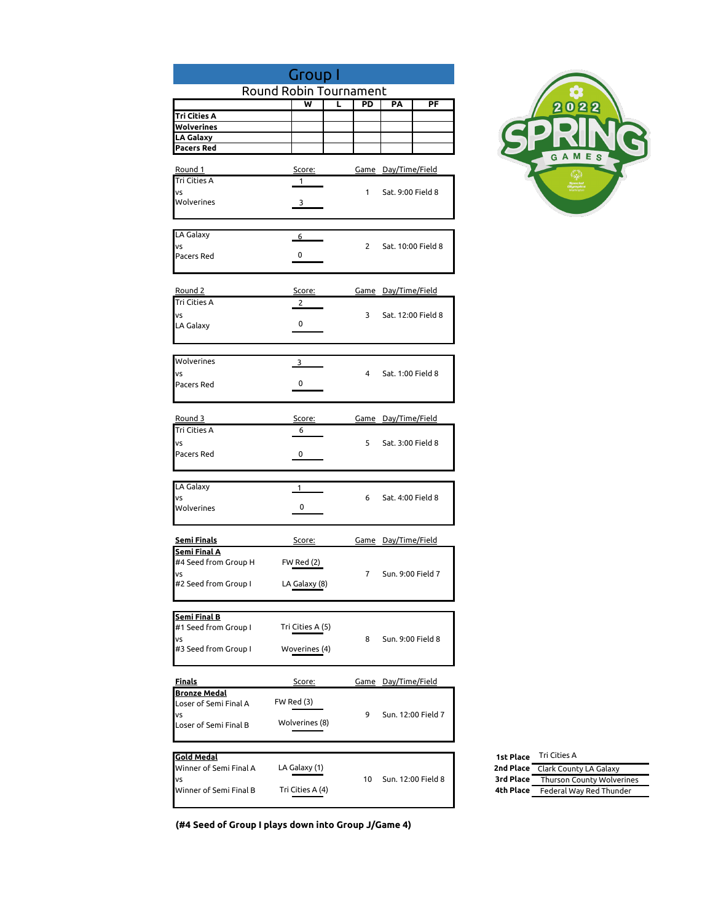|                                             | <b>Group I</b>         |                |                            |  |
|---------------------------------------------|------------------------|----------------|----------------------------|--|
|                                             | Round Robin Tournament |                |                            |  |
| Tri Cities A                                | ₩<br>τ                 | PD             | PA<br>PF                   |  |
| Wolverines                                  |                        |                |                            |  |
| <b>LA Galaxy</b>                            |                        |                |                            |  |
| <b>Pacers Red</b>                           |                        |                |                            |  |
| Round 1                                     | Score:                 |                | <u>Game</u> Day/Time/Field |  |
| Tri Cities A                                | $\mathbf{1}$           |                |                            |  |
| VS<br>Wolverines                            | $\mathbf{3}$           | $\mathbf{1}$   | Sat. 9:00 Field 8          |  |
|                                             |                        |                |                            |  |
| LA Galaxy                                   |                        |                |                            |  |
| VS                                          | $6\overline{}$         | $2^{\circ}$    | Sat. 10:00 Field 8         |  |
| Pacers Red                                  | 0                      |                |                            |  |
|                                             |                        |                |                            |  |
| Round 2                                     | <u>Score:</u>          |                | Game Day/Time/Field        |  |
| Tri Cities A                                | 2                      |                |                            |  |
| VS                                          | 0                      | 3              | Sat. 12:00 Field 8         |  |
| LA Galaxy                                   |                        |                |                            |  |
|                                             |                        |                |                            |  |
| Wolverines                                  | $3^{\circ}$            |                |                            |  |
| VS                                          | 0                      | $\overline{4}$ | Sat. 1:00 Field 8          |  |
| Pacers Red                                  |                        |                |                            |  |
|                                             |                        |                |                            |  |
| Round 3                                     | Score:                 |                | Game Day/Time/Field        |  |
| Tri Cities A                                | 6                      | 5              | Sat. 3:00 Field 8          |  |
| VS<br>Pacers Red                            | 0                      |                |                            |  |
|                                             |                        |                |                            |  |
| LA Galaxy                                   | $1 \quad$              |                |                            |  |
| VS                                          |                        | 6              | Sat. 4:00 Field 8          |  |
| Wolverines                                  | 0                      |                |                            |  |
|                                             |                        |                |                            |  |
| <b>Semi Finals</b>                          | Score:                 |                | <u>Game Day/Time/Field</u> |  |
| Semi Final A<br>#4 Seed from Group H        |                        |                |                            |  |
| VS                                          | FW Red (2)             | $\overline{7}$ | Sun. 9:00 Field 7          |  |
| #2 Seed from Group I                        | LA Galaxy (8)          |                |                            |  |
|                                             |                        |                |                            |  |
| <u>Semi Final B</u>                         |                        |                |                            |  |
| #1 Seed from Group I                        | Tri Cities A (5)       |                |                            |  |
| VS<br>#3 Seed from Group I                  | Woverines (4)          | 8              | Sun. 9:00 Field 8          |  |
|                                             |                        |                |                            |  |
| <u>Finals</u>                               |                        |                | <u>Game Day/Time/Field</u> |  |
| <b>Bronze Medal</b>                         | <u>Score:</u>          |                |                            |  |
| Loser of Semi Final A                       | FW Red (3)             |                |                            |  |
| VS<br>Loser of Semi Final B                 | Wolverines (8)         | 9              | Sun. 12:00 Field 7         |  |
|                                             |                        |                |                            |  |
|                                             |                        |                |                            |  |
| <b>Gold Medal</b><br>Winner of Semi Final A | LA Galaxy (1)          |                |                            |  |
| VS                                          |                        | 10             | Sun. 12:00 Field 8         |  |
| Winner of Semi Final B                      | Tri Cities A (4)       |                |                            |  |
|                                             |                        |                |                            |  |



| <b>1st Place</b> | Tri Cities A                     |
|------------------|----------------------------------|
|                  | 2nd Place Clark County LA Galaxy |
| 3rd Place        | Thurson County Wolverines        |
| 4th Place        | Federal Way Red Thunder          |

**(#4 Seed of Group I plays down into Group J/Game 4)**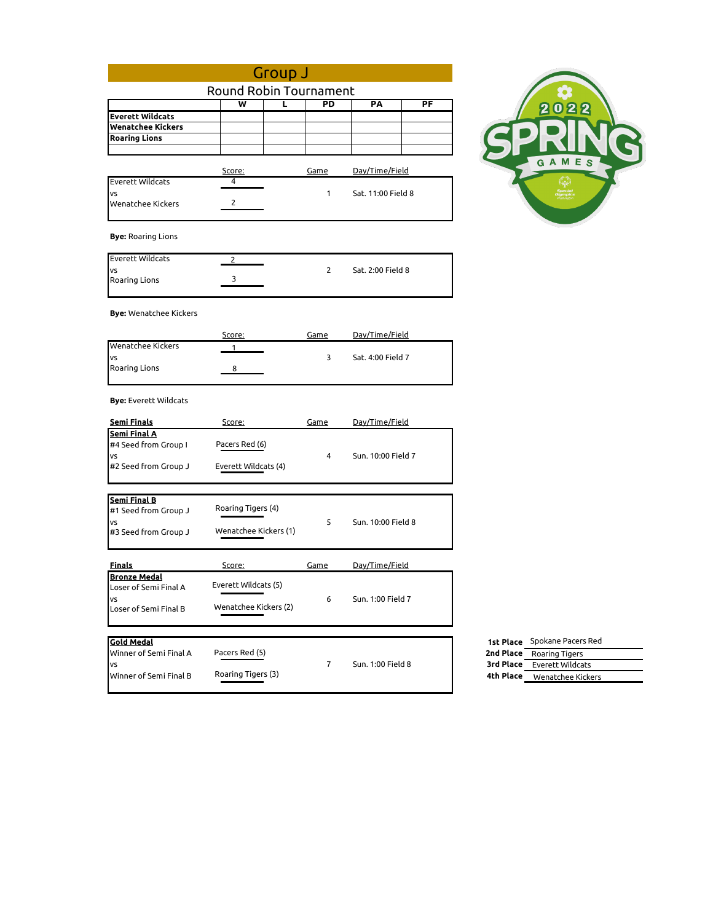| Group J                       |                         |   |                |                    |                          |                                      |
|-------------------------------|-------------------------|---|----------------|--------------------|--------------------------|--------------------------------------|
|                               | Round Robin Tournament  |   |                |                    |                          |                                      |
|                               | $\overline{\mathsf{w}}$ | L | PD             | PA                 | $\overline{\mathsf{PF}}$ |                                      |
| <b>Everett Wildcats</b>       |                         |   |                |                    |                          | 2022                                 |
| <b>Wenatchee Kickers</b>      |                         |   |                |                    |                          |                                      |
| <b>Roaring Lions</b>          |                         |   |                |                    |                          |                                      |
|                               |                         |   |                |                    |                          |                                      |
|                               | Score:                  |   | Game           | Day/Time/Field     |                          | GAMES                                |
| <b>Everett Wildcats</b>       | 4                       |   |                |                    |                          |                                      |
| VS                            |                         |   | 1              | Sat. 11:00 Field 8 |                          |                                      |
| Wenatchee Kickers             | 2                       |   |                |                    |                          |                                      |
| <b>Bye: Roaring Lions</b>     |                         |   |                |                    |                          |                                      |
| <b>Everett Wildcats</b>       | $\overline{2}$          |   |                |                    |                          |                                      |
| VS                            | 3                       |   | 2              | Sat. 2:00 Field 8  |                          |                                      |
| Roaring Lions                 |                         |   |                |                    |                          |                                      |
| <b>Bye:</b> Wenatchee Kickers |                         |   |                |                    |                          |                                      |
|                               | Score:                  |   | Game           | Day/Time/Field     |                          |                                      |
| <b>Wenatchee Kickers</b>      |                         |   |                |                    |                          |                                      |
| VS                            |                         |   | 3              | Sat. 4:00 Field 7  |                          |                                      |
| Roaring Lions                 | 8                       |   |                |                    |                          |                                      |
| <b>Bye:</b> Everett Wildcats  |                         |   |                |                    |                          |                                      |
| <u>Semi Finals</u>            | Score:                  |   | Game           | Day/Time/Field     |                          |                                      |
| Semi Final A                  |                         |   |                |                    |                          |                                      |
| #4 Seed from Group I          | Pacers Red (6)          |   |                |                    |                          |                                      |
| VS                            |                         |   | $\overline{4}$ | Sun. 10:00 Field 7 |                          |                                      |
| #2 Seed from Group J          | Everett Wildcats (4)    |   |                |                    |                          |                                      |
| <b>Semi Final B</b>           |                         |   |                |                    |                          |                                      |
| #1 Seed from Group J          | Roaring Tigers (4)      |   |                |                    |                          |                                      |
| VS                            |                         |   | 5              | Sun. 10:00 Field 8 |                          |                                      |
| #3 Seed from Group J          | Wenatchee Kickers (1)   |   |                |                    |                          |                                      |
| <b>Finals</b>                 | Score:                  |   | Game           | Day/Time/Field     |                          |                                      |
| <b>Bronze Medal</b>           |                         |   |                |                    |                          |                                      |
| Loser of Semi Final A         | Everett Wildcats (5)    |   |                |                    |                          |                                      |
| VS                            |                         |   | 6              | Sun. 1:00 Field 7  |                          |                                      |
| Loser of Semi Final B         | Wenatchee Kickers (2)   |   |                |                    |                          |                                      |
| <b>Gold Medal</b>             |                         |   |                |                    |                          | Spokane Pacers Red<br>1st Place      |
| Winner of Semi Final A        | Pacers Red (5)          |   |                |                    |                          | 2nd Place<br>Roaring Tigers          |
| VS                            |                         |   | $\overline{7}$ | Sun. 1:00 Field 8  |                          | 3rd Place<br><b>Everett Wildcats</b> |
| Winner of Semi Final B        | Roaring Tigers (3)      |   |                |                    |                          | 4th Place Wenatchee Kickers          |
|                               |                         |   |                |                    |                          |                                      |
|                               |                         |   |                |                    |                          |                                      |